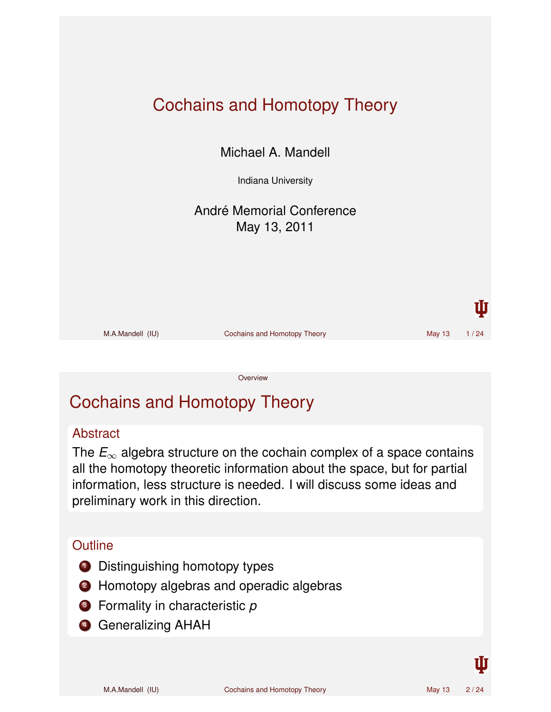

# Cochains and Homotopy Theory

#### **Abstract**

The  $E_{\infty}$  algebra structure on the cochain complex of a space contains all the homotopy theoretic information about the space, but for partial information, less structure is needed. I will discuss some ideas and preliminary work in this direction.

#### **Outline**

- **1** Distinguishing homotopy types
- 2 Homotopy algebras and operadic algebras
- <sup>3</sup> Formality in characteristic *p*
- **4 Generalizing AHAH**

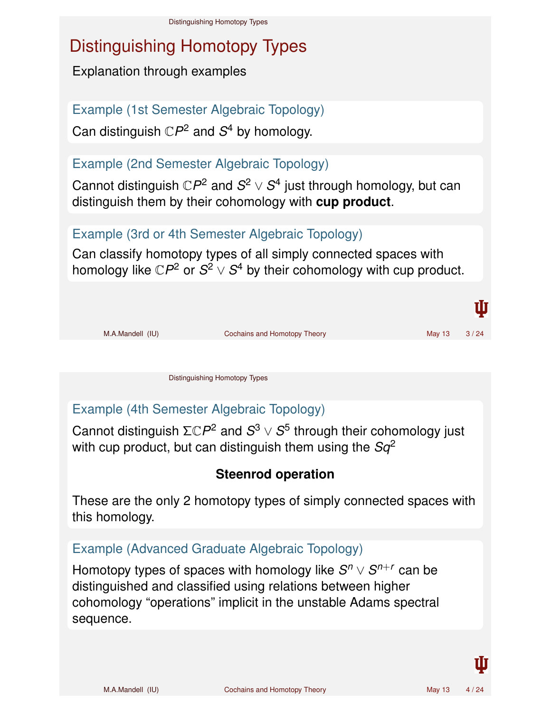# Distinguishing Homotopy Types

Explanation through examples

Example (1st Semester Algebraic Topology)

Can distinguish  $\mathbb{C}P^2$  and  $S^4$  by homology.

### Example (2nd Semester Algebraic Topology)

Cannot distinguish  $\mathbb{C}P^2$  and  $S^2 \vee S^4$  just through homology, but can distinguish them by their cohomology with **cup product**.

### Example (3rd or 4th Semester Algebraic Topology)

Can classify homotopy types of all simply connected spaces with homology like  $\mathbb{C}P^2$  or  $S^2 \vee S^4$  by their cohomology with cup product.



Distinguishing Homotopy Types

### Example (4th Semester Algebraic Topology)

Cannot distinguish  $\Sigma \mathbb{C}P^2$  and  $S^3 \vee S^5$  through their cohomology just with cup product, but can distinguish them using the *Sq*<sup>2</sup>

### **Steenrod operation**

These are the only 2 homotopy types of simply connected spaces with this homology.

#### Example (Advanced Graduate Algebraic Topology)

Homotopy types of spaces with homology like  $S^n\vee S^{n+r}$  can be distinguished and classified using relations between higher cohomology "operations" implicit in the unstable Adams spectral sequence.

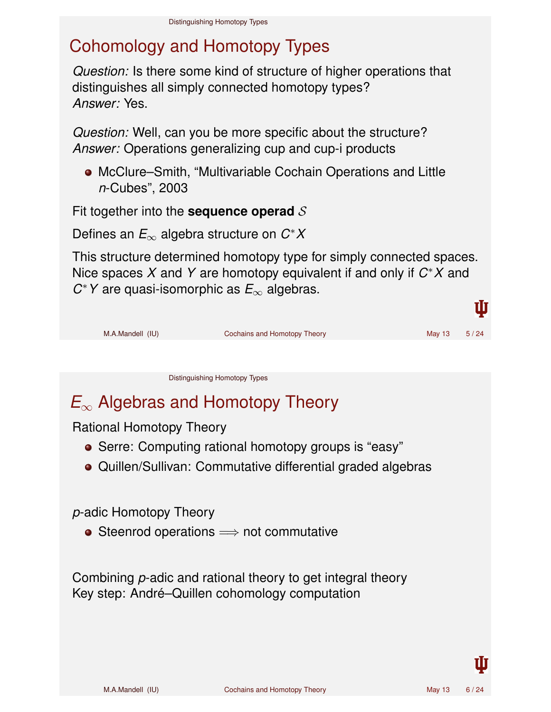# Cohomology and Homotopy Types

*Question:* Is there some kind of structure of higher operations that distinguishes all simply connected homotopy types? *Answer:* Yes.

*Question:* Well, can you be more specific about the structure? *Answer:* Operations generalizing cup and cup-i products

McClure–Smith, "Multivariable Cochain Operations and Little *n*-Cubes", 2003

Fit together into the **sequence operad** S

Defines an *E*<sup>∞</sup> algebra structure on *C* ∗*X*

This structure determined homotopy type for simply connected spaces. Nice spaces *X* and *Y* are homotopy equivalent if and only if *C* <sup>∗</sup>*X* and *C* <sup>∗</sup>*Y* are quasi-isomorphic as *E*<sup>∞</sup> algebras.



Distinguishing Homotopy Types

# *E*<sup>∞</sup> Algebras and Homotopy Theory

Rational Homotopy Theory

- Serre: Computing rational homotopy groups is "easy"
- Quillen/Sullivan: Commutative differential graded algebras

*p*-adic Homotopy Theory

● Steenrod operations  $\implies$  not commutative

Combining *p*-adic and rational theory to get integral theory Key step: André–Quillen cohomology computation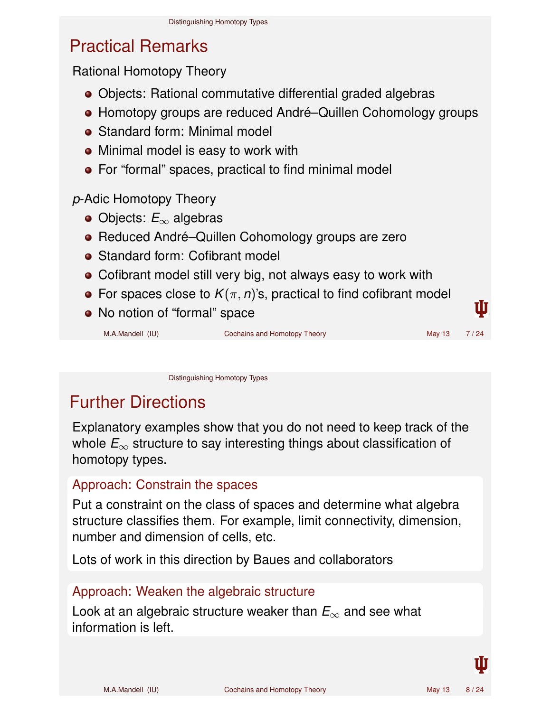### Practical Remarks

Rational Homotopy Theory

- Objects: Rational commutative differential graded algebras
- Homotopy groups are reduced André–Quillen Cohomology groups
- Standard form: Minimal model
- Minimal model is easy to work with
- For "formal" spaces, practical to find minimal model

### *p*-Adic Homotopy Theory

- Objects: *E*<sup>∞</sup> algebras
- Reduced André–Quillen Cohomology groups are zero
- Standard form: Cofibrant model
- Cofibrant model still very big, not always easy to work with
- For spaces close to  $K(\pi, n)$ 's, practical to find cofibrant model
- No notion of "formal" space

M.A.Mandell (IU) Cochains and Homotopy Theory Communication of May 13 7/24

Distinguishing Homotopy Types

### Further Directions

Explanatory examples show that you do not need to keep track of the whole *E*<sup>∞</sup> structure to say interesting things about classification of homotopy types.

#### Approach: Constrain the spaces

Put a constraint on the class of spaces and determine what algebra structure classifies them. For example, limit connectivity, dimension, number and dimension of cells, etc.

Lots of work in this direction by Baues and collaborators

#### Approach: Weaken the algebraic structure

Look at an algebraic structure weaker than *E*<sup>∞</sup> and see what information is left.



Ш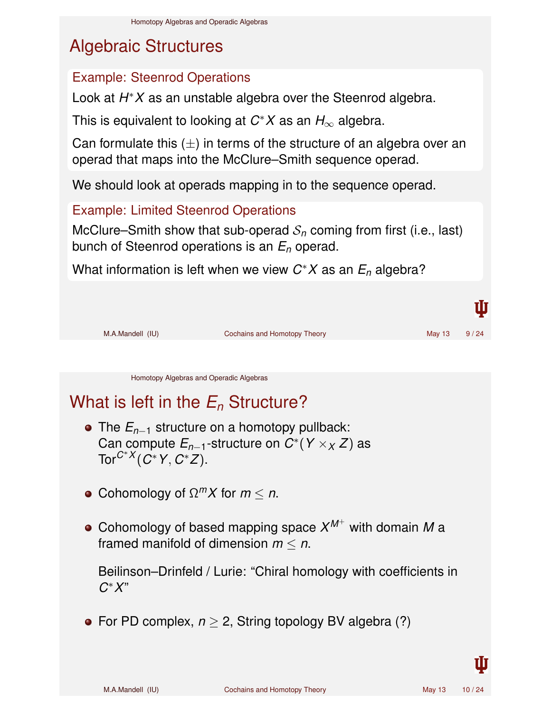# Algebraic Structures

### Example: Steenrod Operations

Look at *H* <sup>∗</sup>*X* as an unstable algebra over the Steenrod algebra.

This is equivalent to looking at *C* <sup>∗</sup>*X* as an *H*<sup>∞</sup> algebra.

Can formulate this  $(\pm)$  in terms of the structure of an algebra over an operad that maps into the McClure–Smith sequence operad.

We should look at operads mapping in to the sequence operad.

Example: Limited Steenrod Operations

McClure–Smith show that sub-operad  $S_n$  coming from first (i.e., last) bunch of Steenrod operations is an *E<sup>n</sup>* operad.

What information is left when we view *C* <sup>∗</sup>*X* as an *E<sup>n</sup>* algebra?



Homotopy Algebras and Operadic Algebras

# What is left in the *E<sup>n</sup>* Structure?

- The *En*−<sup>1</sup> structure on a homotopy pullback: Can compute *En*−1-structure on *C* ∗ (*Y* ×*<sup>X</sup> Z*) as Tor*C*∗*<sup>X</sup>* (*C* <sup>∗</sup>*Y*, *C* ∗ *Z*).
- Cohomology of  $\Omega^m X$  for  $m \leq n$ .
- Cohomology of based mapping space  $X^{M^+}$  with domain  $M$  a framed manifold of dimension *m* ≤ *n*.

Beilinson–Drinfeld / Lurie: "Chiral homology with coefficients in *C* <sup>∗</sup>*X*"

• For PD complex,  $n \geq 2$ , String topology BV algebra (?)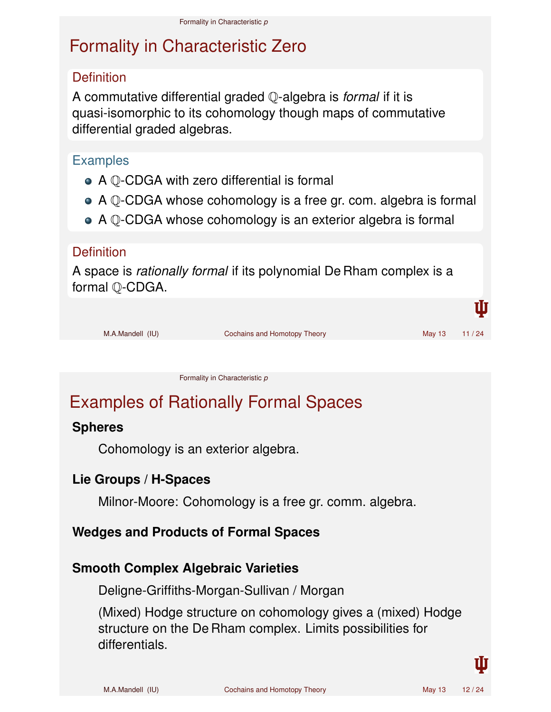### Formality in Characteristic Zero

#### **Definition**

A commutative differential graded Q-algebra is *formal* if it is quasi-isomorphic to its cohomology though maps of commutative differential graded algebras.

#### **Examples**

- A Q-CDGA with zero differential is formal
- A Q-CDGA whose cohomology is a free gr. com. algebra is formal
- A Q-CDGA whose cohomology is an exterior algebra is formal

#### **Definition**

A space is *rationally formal* if its polynomial De Rham complex is a formal Q-CDGA.

|                  |                              |              | Ш |
|------------------|------------------------------|--------------|---|
| M.A.Mandell (IU) | Cochains and Homotopy Theory | May 13 11/24 |   |
|                  |                              |              |   |

Formality in Characteristic *p*

## Examples of Rationally Formal Spaces

#### **Spheres**

Cohomology is an exterior algebra.

#### **Lie Groups / H-Spaces**

Milnor-Moore: Cohomology is a free gr. comm. algebra.

### **Wedges and Products of Formal Spaces**

### **Smooth Complex Algebraic Varieties**

Deligne-Griffiths-Morgan-Sullivan / Morgan

(Mixed) Hodge structure on cohomology gives a (mixed) Hodge structure on the De Rham complex. Limits possibilities for differentials.

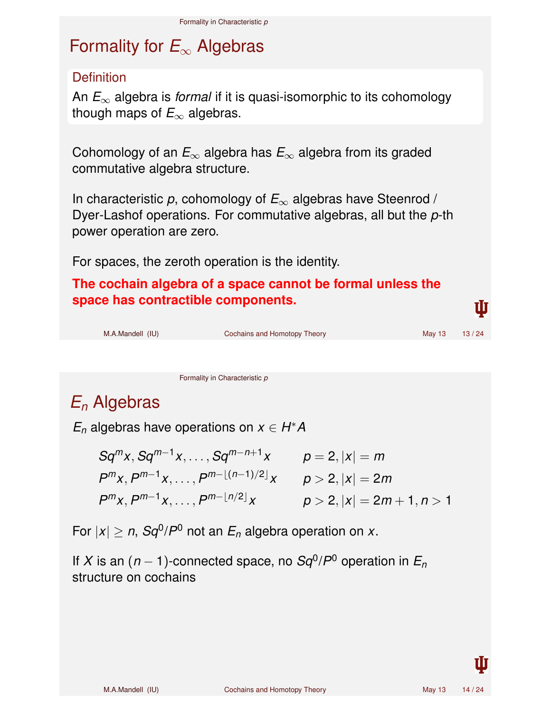# Formality for *E*<sup>∞</sup> Algebras

#### **Definition**

An *E*<sup>∞</sup> algebra is *formal* if it is quasi-isomorphic to its cohomology though maps of  $E_{\infty}$  algebras.

Cohomology of an *E*<sup>∞</sup> algebra has *E*<sup>∞</sup> algebra from its graded commutative algebra structure.

In characteristic *p*, cohomology of *E*<sup>∞</sup> algebras have Steenrod / Dyer-Lashof operations. For commutative algebras, all but the *p*-th power operation are zero.

For spaces, the zeroth operation is the identity.

**The cochain algebra of a space cannot be formal unless the space has contractible components.**

| M.A.Mandell (IU) | Cochains and Homotopy Theory | May $13$ | 13/24 |
|------------------|------------------------------|----------|-------|
|                  |                              |          |       |

Formality in Characteristic *p*

## *E<sup>n</sup>* Algebras

 $E_n$  algebras have operations on  $x \in H^*A$ 

$$
Sq^{m}x, Sq^{m-1}x, \ldots, Sq^{m-n+1}x \qquad p = 2, |x| = m
$$
  
\n
$$
P^{m}x, P^{m-1}x, \ldots, P^{m-\lfloor (n-1)/2 \rfloor}x \qquad p > 2, |x| = 2m
$$
  
\n
$$
P^{m}x, P^{m-1}x, \ldots, P^{m-\lfloor n/2 \rfloor}x \qquad p > 2, |x| = 2m + 1, n > 1
$$

For  $|x| \ge n$ ,  $Sq^{0}/P^{0}$  not an  $E_{n}$  algebra operation on  $x$ .

If *X* is an (*n* − 1)-connected space, no  $Sq^{0}/P^{0}$  operation in  $E_{n}$ structure on cochains

TĪT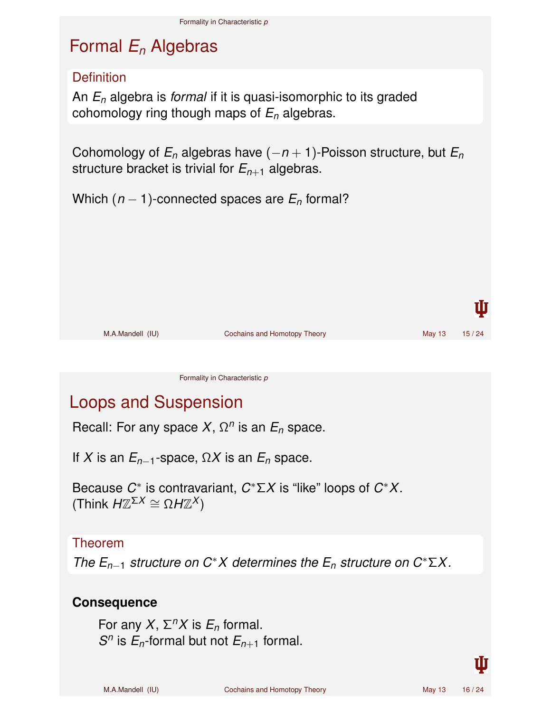## Formal *E<sup>n</sup>* Algebras

#### **Definition**

An *E<sup>n</sup>* algebra is *formal* if it is quasi-isomorphic to its graded cohomology ring though maps of *E<sup>n</sup>* algebras.

Cohomology of  $E_n$  algebras have  $(-n + 1)$ -Poisson structure, but  $E_n$ structure bracket is trivial for  $E_{n+1}$  algebras.

Which  $(n - 1)$ -connected spaces are  $E_n$  formal?



Formality in Characteristic *p*

### Loops and Suspension

Recall: For any space *X*, Ω *n* is an *E<sup>n</sup>* space.

If *X* is an  $E_{n-1}$ -space,  $\Omega X$  is an  $E_n$  space.

Because  $C^*$  is contravariant,  $C^* \Sigma X$  is "like" loops of  $C^* X$ .  $(Think H\mathbb{Z}^{\Sigma X} \cong \Omega H\mathbb{Z}^X)$ 

#### Theorem

*The En*−<sup>1</sup> *structure on C*∗*X determines the E<sup>n</sup> structure on C*∗Σ*X.*

#### **Consequence**

For any  $X$ ,  $\Sigma<sup>n</sup>X$  is  $E<sub>n</sub>$  formal. *S*<sup>*n*</sup> is *E*<sub>*n*</sub>-formal but not *E*<sub>*n*+1</sub> formal.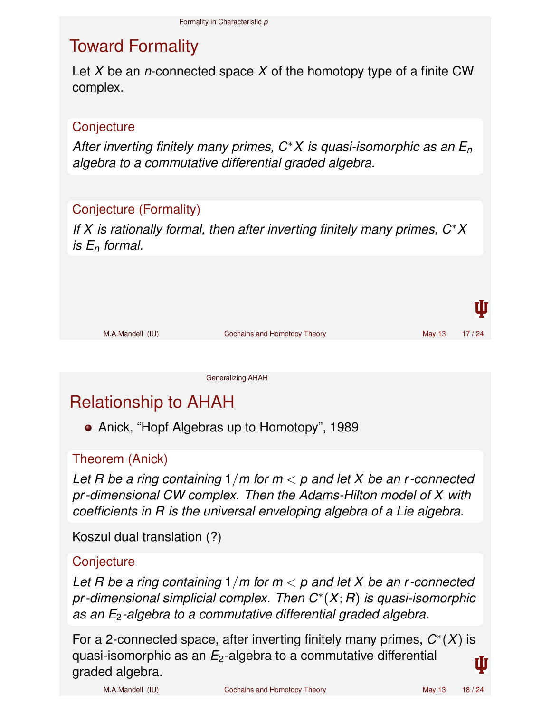### Toward Formality

Let *X* be an *n*-connected space *X* of the homotopy type of a finite CW complex.

#### **Conjecture**

*After inverting finitely many primes, C*∗*X is quasi-isomorphic as an E<sup>n</sup> algebra to a commutative differential graded algebra.*

### Conjecture (Formality)

*If X is rationally formal, then after inverting finitely many primes, C*∗*X is E<sup>n</sup> formal.*

|                              |              | U |
|------------------------------|--------------|---|
| Cochains and Homotopy Theory | May 13 17/24 |   |
|                              |              |   |
|                              |              |   |

#### Generalizing AHAH

### Relationship to AHAH

• Anick, "Hopf Algebras up to Homotopy", 1989

#### Theorem (Anick)

*Let R be a ring containing* 1/*m for m* < *p and let X be an r -connected pr -dimensional CW complex. Then the Adams-Hilton model of X with coefficients in R is the universal enveloping algebra of a Lie algebra.*

Koszul dual translation (?)

#### **Conjecture**

*Let R be a ring containing* 1/*m for m* < *p and let X be an r -connected pr -dimensional simplicial complex. Then C*<sup>∗</sup> (*X*; *R*) *is quasi-isomorphic as an E*2*-algebra to a commutative differential graded algebra.*

For a 2-connected space, after inverting finitely many primes, *C* ∗ (*X*) is quasi-isomorphic as an *E*2-algebra to a commutative differential graded algebra.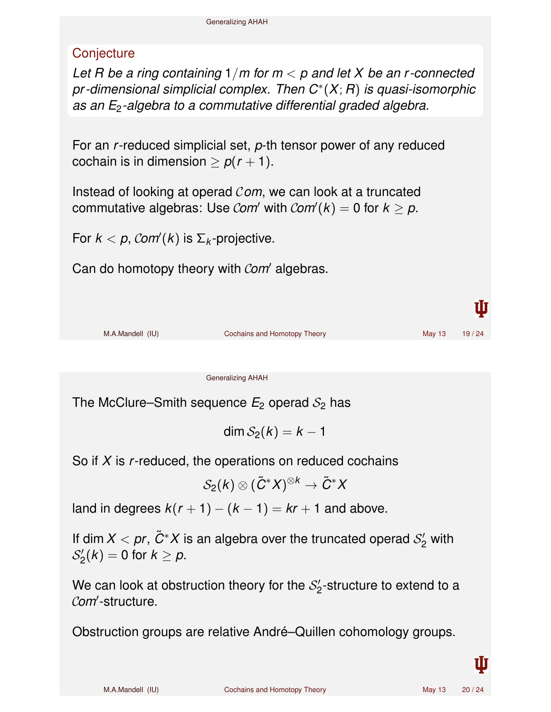### **Conjecture**

*Let R be a ring containing* 1/*m for m* < *p and let X be an r -connected pr -dimensional simplicial complex. Then C*<sup>∗</sup> (*X*; *R*) *is quasi-isomorphic as an E*2*-algebra to a commutative differential graded algebra.*

For an *r*-reduced simplicial set, *p*-th tensor power of any reduced cochain is in dimension  $\geq p(r+1)$ .

Instead of looking at operad C*om*, we can look at a truncated commutative algebras: Use *Com'* with  $Com'(k) = 0$  for  $k \geq p$ .

For  $k < p$ ,  $\mathcal{C}$ *om* $(k)$  is  $\Sigma_k$ -projective.

Can do homotopy theory with Com' algebras.



Generalizing AHAH

The McClure–Smith sequence  $E_2$  operad  $S_2$  has

$$
\dim \mathcal{S}_2(k)=k-1
$$

So if *X* is *r*-reduced, the operations on reduced cochains

$$
\mathcal{S}_2(k)\otimes (\tilde{C}^*X)^{\otimes k}\to \tilde{C}^*X
$$

land in degrees  $k(r + 1) - (k - 1) = kr + 1$  and above.

If dim  $X < pr$ ,  $\tilde{C}^*X$  is an algebra over the truncated operad  $\mathcal{S}'_2$  $2\prime$  with  $\mathcal{S}'_2$  $2/2(k) = 0$  for  $k \geq p$ .

We can look at obstruction theory for the  $\mathcal{S}'_2$  $\frac{1}{2}$ -structure to extend to a Com'-structure.

Obstruction groups are relative André–Quillen cohomology groups.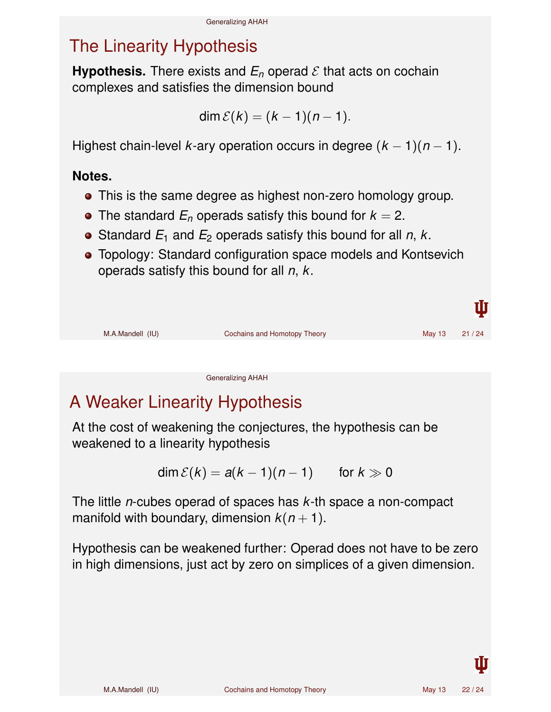### The Linearity Hypothesis

**Hypothesis.** There exists and  $E_n$  operad  $\mathcal E$  that acts on cochain complexes and satisfies the dimension bound

$$
\dim \mathcal{E}(k) = (k-1)(n-1).
$$

Highest chain-level *k*-ary operation occurs in degree  $(k - 1)(n - 1)$ .

#### **Notes.**

- This is the same degree as highest non-zero homology group.
- The standard  $E_n$  operads satisfy this bound for  $k = 2$ .
- Standard  $E_1$  and  $E_2$  operads satisfy this bound for all  $n, k$ .
- Topology: Standard configuration space models and Kontsevich operads satisfy this bound for all *n*, *k*.



Generalizing AHAH

# A Weaker Linearity Hypothesis

At the cost of weakening the conjectures, the hypothesis can be weakened to a linearity hypothesis

$$
\dim \mathcal{E}(k) = a(k-1)(n-1) \quad \text{for } k \gg 0
$$

The little *n*-cubes operad of spaces has *k*-th space a non-compact manifold with boundary, dimension  $k(n + 1)$ .

Hypothesis can be weakened further: Operad does not have to be zero in high dimensions, just act by zero on simplices of a given dimension.